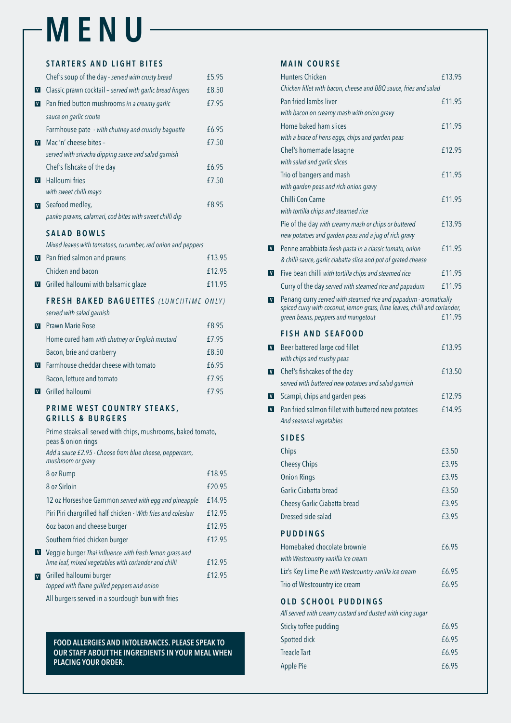# **MENU**

#### **STARTERS AND LIGHT BITES**

|              | Chef's soup of the day - served with crusty bread                                  | £5.95  |
|--------------|------------------------------------------------------------------------------------|--------|
| $\mathbf{V}$ | Classic prawn cocktail - served with garlic bread fingers                          | £8.50  |
| V            | Pan fried button mushrooms in a creamy garlic                                      | £7.95  |
|              | sauce on garlic croute                                                             |        |
|              | Farmhouse pate - with chutney and crunchy baguette                                 | £6.95  |
| V            | Mac'n' cheese bites -                                                              | £7.50  |
|              | served with sriracha dipping sauce and salad garnish                               |        |
|              | Chef's fishcake of the day                                                         | £6.95  |
| V            | <b>Halloumi fries</b>                                                              | £7.50  |
|              | with sweet chilli mayo                                                             |        |
| V            | Seafood medley,                                                                    | £8.95  |
|              | panko prawns, calamari, cod bites with sweet chilli dip                            |        |
|              | <b>SALAD BOWLS</b>                                                                 |        |
|              | Mixed leaves with tomatoes, cucumber, red onion and peppers                        |        |
| $\mathbf{V}$ | Pan fried salmon and prawns                                                        | £13.95 |
|              | Chicken and bacon                                                                  | £12.95 |
| $\mathbf{V}$ | Grilled halloumi with balsamic glaze                                               | £11.95 |
|              | FRESH BAKED BAGUETTES (LUNCHTIME ONLY)                                             |        |
|              | served with salad garnish                                                          |        |
| V            | <b>Prawn Marie Rose</b>                                                            | £8.95  |
|              | Home cured ham with chutney or English mustard                                     | £7.95  |
|              | Bacon, brie and cranberry                                                          | £8.50  |
| V            | Farmhouse cheddar cheese with tomato                                               | £6.95  |
|              | Bacon, lettuce and tomato                                                          | £7.95  |
| V            | Grilled halloumi                                                                   | £7.95  |
|              | PRIME WEST COUNTRY STEAKS,<br><b>GRILLS &amp; BURGERS</b>                          |        |
|              | Prime steaks all served with chips, mushrooms, baked tomato,<br>peas & onion rings |        |
|              | Add a sauce £2.95 - Choose from blue cheese, peppercorn,<br>mushroom or gravy      |        |

Grilled halloumi burger **Electional Election** Control E12.95 *topped with flame grilled peppers and onion*

| 8 oz Rump                                                    | £18.95 |
|--------------------------------------------------------------|--------|
| 8 oz Sirloin                                                 | £20.95 |
| 12 oz Horseshoe Gammon served with egg and pineapple         | £14.95 |
| Piri Piri chargrilled half chicken - With fries and coleslaw | £12.95 |
| 60z bacon and cheese burger                                  | £12.95 |
| Southern fried chicken burger                                | £12.95 |

Veggie burger *Thai influence with fresh lemon grass and lime leaf, mixed vegetables with coriander and chilli* £12.95

| Homebaked chocolate brownie                                | £6.95 |  |  |  |
|------------------------------------------------------------|-------|--|--|--|
| with Westcountry vanilla ice cream                         |       |  |  |  |
| Liz's Key Lime Pie with Westcountry vanilla ice cream      | £6.95 |  |  |  |
| Trio of Westcountry ice cream                              | £6.95 |  |  |  |
| <b>OLD SCHOOL PUDDINGS</b>                                 |       |  |  |  |
| All served with creamy custard and dusted with icing sugar |       |  |  |  |
| Sticky toffee pudding                                      | £6.95 |  |  |  |
| Spotted dick                                               | £6.95 |  |  |  |
| <b>Treacle Tart</b>                                        | £6.95 |  |  |  |
| Apple Pie                                                  | £6.95 |  |  |  |
|                                                            |       |  |  |  |

All burgers served in a sourdough bun with fries

#### **MAIN COURSE**

|              | <b>Hunters Chicken</b>                                                                                                                         | £13.95 |
|--------------|------------------------------------------------------------------------------------------------------------------------------------------------|--------|
|              | Chicken fillet with bacon, cheese and BBQ sauce, fries and salad                                                                               |        |
|              | Pan fried lambs liver                                                                                                                          | £11.95 |
|              | with bacon on creamy mash with onion gravy                                                                                                     |        |
|              | Home baked ham slices                                                                                                                          | £11.95 |
|              | with a brace of hens eggs, chips and garden peas                                                                                               |        |
|              | Chef's homemade lasagne                                                                                                                        | £12.95 |
|              | with salad and garlic slices                                                                                                                   |        |
|              | Trio of bangers and mash                                                                                                                       | £11.95 |
|              | with garden peas and rich onion gravy                                                                                                          |        |
|              | Chilli Con Carne                                                                                                                               | £11.95 |
|              | with tortilla chips and steamed rice                                                                                                           |        |
|              | Pie of the day with creamy mash or chips or buttered<br>new potatoes and garden peas and a jug of rich gravy                                   | £13.95 |
| V            | Penne arrabbiata fresh pasta in a classic tomato, onion                                                                                        | £11.95 |
|              | & chilli sauce, garlic ciabatta slice and pot of grated cheese                                                                                 |        |
| V            | Five bean chilli with tortilla chips and steamed rice                                                                                          | £11.95 |
|              | Curry of the day served with steamed rice and papadum                                                                                          | £11.95 |
| V            | Penang curry served with steamed rice and papadum - aromatically<br>spiced curry with coconut, lemon grass, lime leaves, chilli and coriander, |        |
|              | green beans, peppers and mangetout                                                                                                             | £11.95 |
|              | <b>FISH AND SEAFOOD</b>                                                                                                                        |        |
| $\mathbf{V}$ | Beer battered large cod fillet                                                                                                                 | £13.95 |
|              | with chips and mushy peas                                                                                                                      |        |
| V            | Chef's fishcakes of the day                                                                                                                    | £13.50 |
|              | served with buttered new potatoes and salad garnish                                                                                            |        |
| V            | Scampi, chips and garden peas                                                                                                                  | £12.95 |
| V            | Pan fried salmon fillet with buttered new potatoes                                                                                             | £14.95 |
|              | And seasonal vegetables                                                                                                                        |        |
|              | <b>SIDES</b>                                                                                                                                   |        |
|              | Chips                                                                                                                                          | £3.50  |
|              | <b>Cheesy Chips</b>                                                                                                                            | £3.95  |
|              | <b>Onion Rings</b>                                                                                                                             | £3.95  |
|              | Garlic Ciabatta bread                                                                                                                          | £3.50  |
|              | Cheesy Garlic Ciabatta bread                                                                                                                   | £3.95  |
|              | Dressed side salad                                                                                                                             | £3.95  |
|              |                                                                                                                                                |        |
|              | <b>PUDDINGS</b>                                                                                                                                |        |

#### **FOOD ALLERGIES AND INTOLERANCES. PLEASE SPEAK TO OUR STAFF ABOUT THE INGREDIENTS IN YOUR MEAL WHEN PLACING YOUR ORDER.**